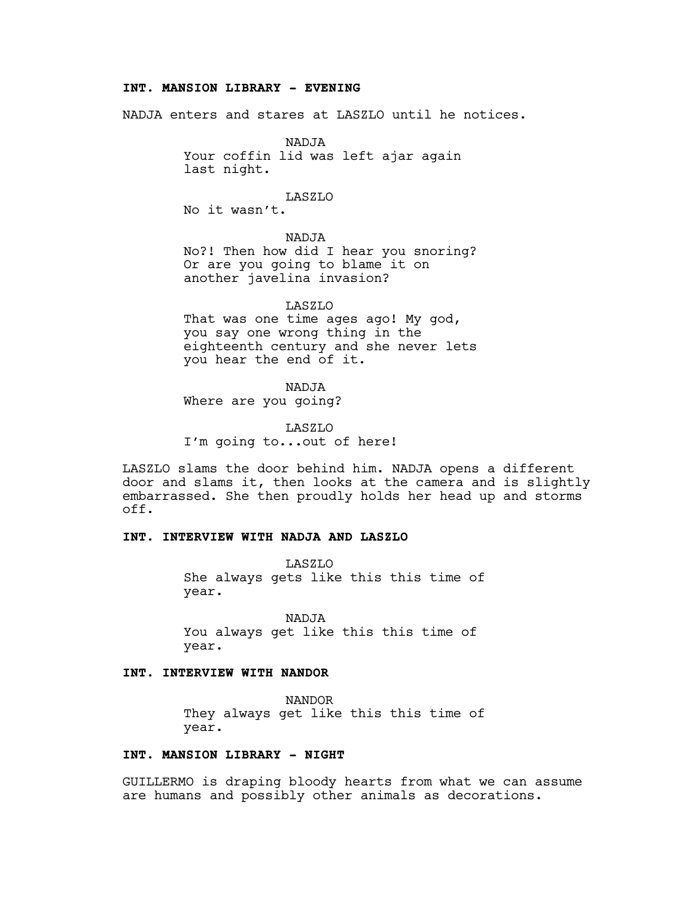### **INT. MANSION LIBRARY - EVENING**

NADJA enters and stares at LASZLO until he notices.

NADJA Your coffin lid was left ajar again last night.

LASZLO

No it wasn't.

NADJA

No?! Then how did I hear you snoring? Or are you going to blame it on another javelina invasion?

LASZLO That was one time ages ago! My god, you say one wrong thing in the eighteenth century and she never lets you hear the end of it.

NADJA

Where are you going?

LASZLO I'm going to...out of here!

LASZLO slams the door behind him. NADJA opens a different door and slams it, then looks at the camera and is slightly embarrassed. She then proudly holds her head up and storms off.

## **INT. INTERVIEW WITH NADJA AND LASZLO**

LASZLO She always gets like this this time of year.

NADJA You always get like this this time of year.

# **INT. INTERVIEW WITH NANDOR**

NANDOR They always get like this this time of year.

# **INT. MANSION LIBRARY - NIGHT**

GUILLERMO is draping bloody hearts from what we can assume are humans and possibly other animals as decorations.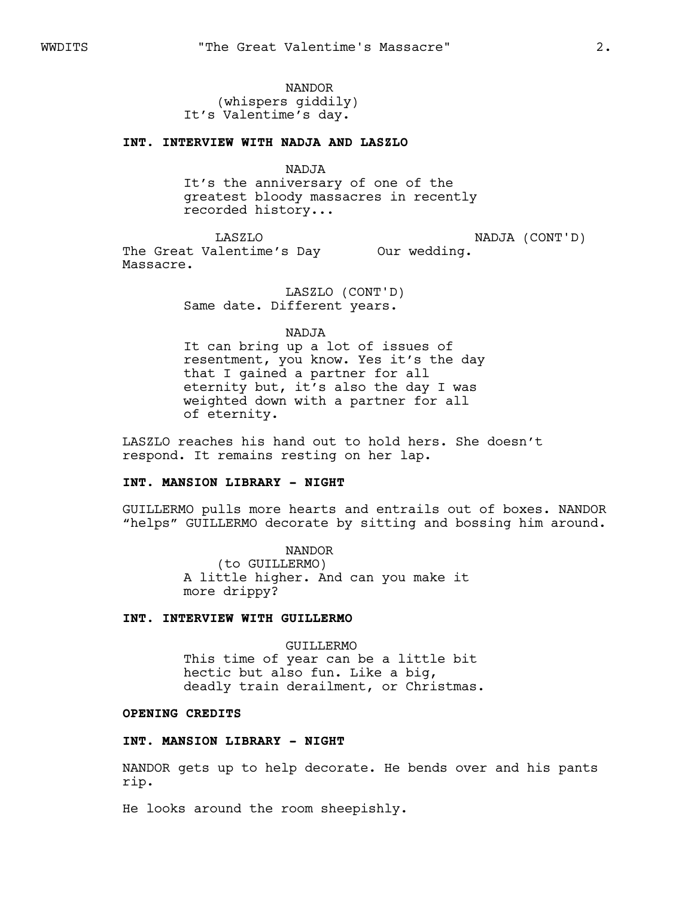NANDOR (whispers giddily) It's Valentime's day.

#### **INT. INTERVIEW WITH NADJA AND LASZLO**

NADJA

It's the anniversary of one of the greatest bloody massacres in recently recorded history...

LASZLO

NADJA (CONT'D)

The Great Valentime's Day Our wedding. Massacre.

> LASZLO (CONT'D) Same date. Different years.

#### NADJA

It can bring up a lot of issues of resentment, you know. Yes it's the day that I gained a partner for all eternity but, it's also the day I was weighted down with a partner for all of eternity.

LASZLO reaches his hand out to hold hers. She doesn't respond. It remains resting on her lap.

#### **INT. MANSION LIBRARY - NIGHT**

GUILLERMO pulls more hearts and entrails out of boxes. NANDOR "helps" GUILLERMO decorate by sitting and bossing him around.

> NANDOR (to GUILLERMO) A little higher. And can you make it more drippy?

# **INT. INTERVIEW WITH GUILLERMO**

GUILLERMO This time of year can be a little bit hectic but also fun. Like a big, deadly train derailment, or Christmas.

### **OPENING CREDITS**

### **INT. MANSION LIBRARY - NIGHT**

NANDOR gets up to help decorate. He bends over and his pants rip.

He looks around the room sheepishly.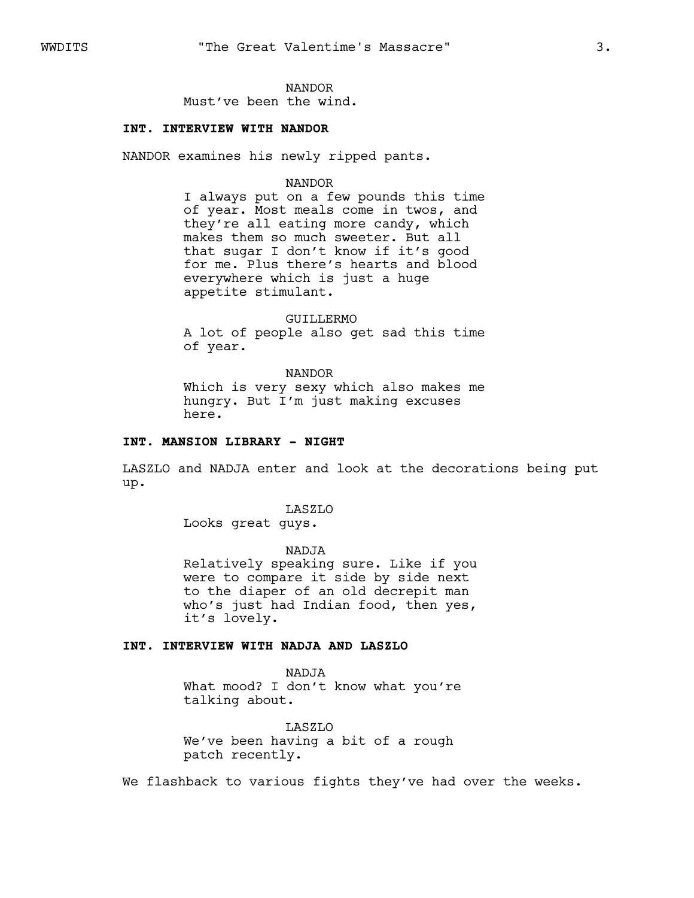# NANDOR

Must've been the wind.

### **INT. INTERVIEW WITH NANDOR**

NANDOR examines his newly ripped pants.

#### NANDOR

I always put on a few pounds this time of year. Most meals come in twos, and they're all eating more candy, which makes them so much sweeter. But all that sugar I don't know if it's good for me. Plus there's hearts and blood everywhere which is just a huge appetite stimulant.

GUILLERMO A lot of people also get sad this time of year.

# NANDOR

Which is very sexy which also makes me hungry. But I'm just making excuses here.

### **INT. MANSION LIBRARY - NIGHT**

LASZLO and NADJA enter and look at the decorations being put up.

#### LASZLO

Looks great guys.

NADJA Relatively speaking sure. Like if you were to compare it side by side next to the diaper of an old decrepit man who's just had Indian food, then yes, it's lovely.

### **INT. INTERVIEW WITH NADJA AND LASZLO**

NADJA What mood? I don't know what you're talking about.

LASZLO We've been having a bit of a rough patch recently.

We flashback to various fights they've had over the weeks.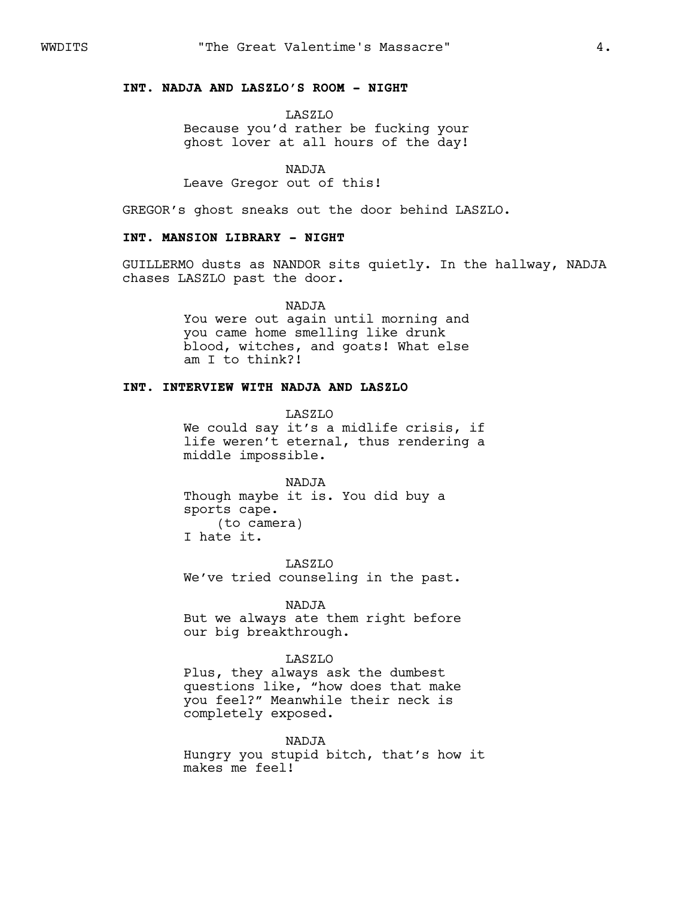## **INT. NADJA AND LASZLO'S ROOM - NIGHT**

LASZLO Because you'd rather be fucking your ghost lover at all hours of the day!

NADJA Leave Gregor out of this!

GREGOR's ghost sneaks out the door behind LASZLO.

### **INT. MANSION LIBRARY - NIGHT**

GUILLERMO dusts as NANDOR sits quietly. In the hallway, NADJA chases LASZLO past the door.

> NADJA You were out again until morning and you came home smelling like drunk blood, witches, and goats! What else am I to think?!

## **INT. INTERVIEW WITH NADJA AND LASZLO**

LASZLO We could say it's a midlife crisis, if life weren't eternal, thus rendering a middle impossible.

NADJA Though maybe it is. You did buy a sports cape. (to camera) I hate it.

LASZLO We've tried counseling in the past.

NADJA

But we always ate them right before our big breakthrough.

### LASZLO

Plus, they always ask the dumbest questions like, "how does that make you feel?" Meanwhile their neck is completely exposed.

#### NADJA

Hungry you stupid bitch, that's how it makes me feel!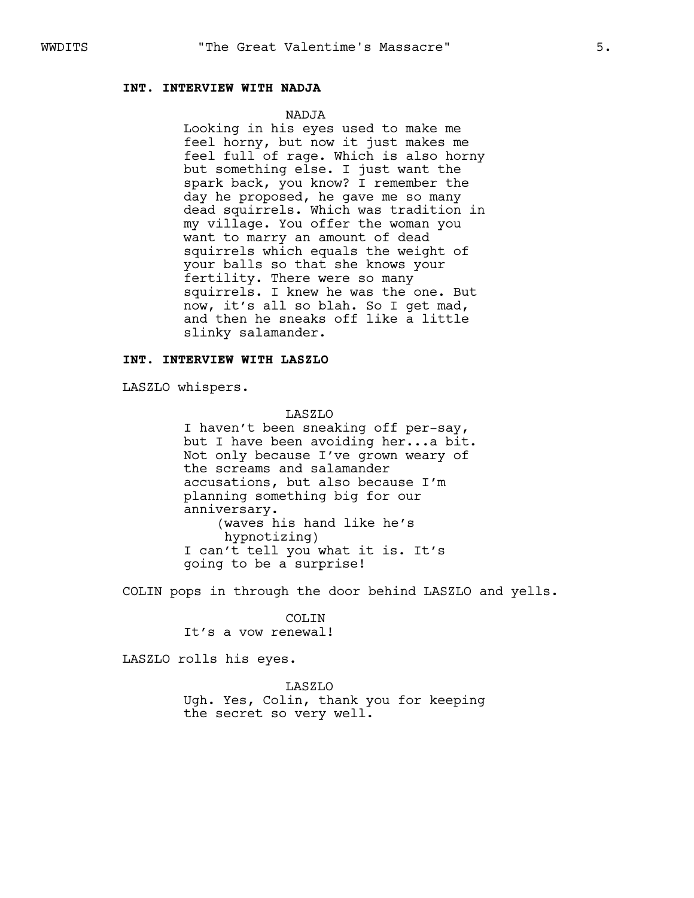## **INT. INTERVIEW WITH NADJA**

### NADJA

Looking in his eyes used to make me feel horny, but now it just makes me feel full of rage. Which is also horny but something else. I just want the spark back, you know? I remember the day he proposed, he gave me so many dead squirrels. Which was tradition in my village. You offer the woman you want to marry an amount of dead squirrels which equals the weight of your balls so that she knows your fertility. There were so many squirrels. I knew he was the one. But now, it's all so blah. So I get mad, and then he sneaks off like a little slinky salamander.

#### **INT. INTERVIEW WITH LASZLO**

LASZLO whispers.

LASZLO I haven't been sneaking off per-say, but I have been avoiding her...a bit. Not only because I've grown weary of the screams and salamander accusations, but also because I'm planning something big for our anniversary. (waves his hand like he's hypnotizing) I can't tell you what it is. It's going to be a surprise!

COLIN pops in through the door behind LASZLO and yells.

COLIN It's a vow renewal!

LASZLO rolls his eyes.

LASZLO Ugh. Yes, Colin, thank you for keeping the secret so very well.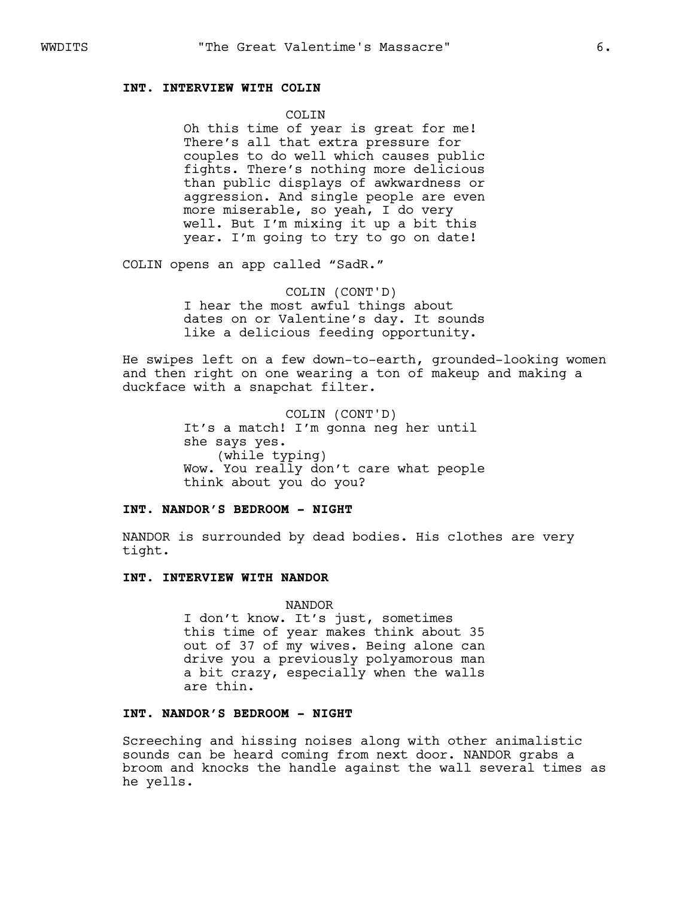### **INT. INTERVIEW WITH COLIN**

COLTN.

Oh this time of year is great for me! There's all that extra pressure for couples to do well which causes public fights. There's nothing more delicious than public displays of awkwardness or aggression. And single people are even more miserable, so yeah, I do very well. But I'm mixing it up a bit this year. I'm going to try to go on date!

COLIN opens an app called "SadR."

COLIN (CONT'D) I hear the most awful things about dates on or Valentine's day. It sounds like a delicious feeding opportunity.

He swipes left on a few down-to-earth, grounded-looking women and then right on one wearing a ton of makeup and making a duckface with a snapchat filter.

> COLIN (CONT'D) It's a match! I'm gonna neg her until she says yes. (while typing) Wow. You really don't care what people think about you do you?

### **INT. NANDOR'S BEDROOM - NIGHT**

NANDOR is surrounded by dead bodies. His clothes are very tight.

#### **INT. INTERVIEW WITH NANDOR**

NANDOR

I don't know. It's just, sometimes this time of year makes think about 35 out of 37 of my wives. Being alone can drive you a previously polyamorous man a bit crazy, especially when the walls are thin.

### **INT. NANDOR'S BEDROOM - NIGHT**

Screeching and hissing noises along with other animalistic sounds can be heard coming from next door. NANDOR grabs a broom and knocks the handle against the wall several times as he yells.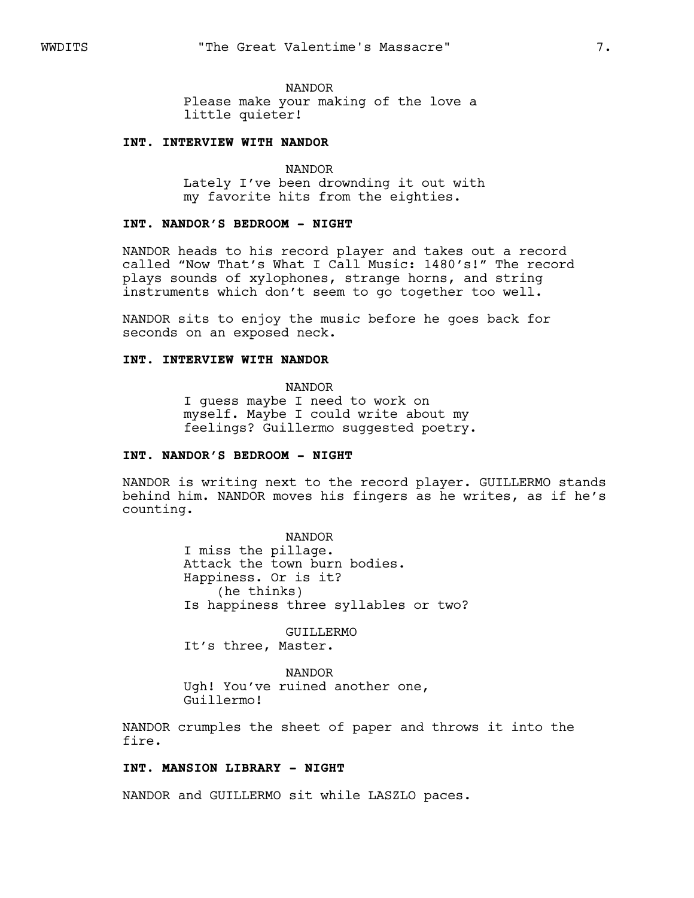NANDOR

Please make your making of the love a little quieter!

#### **INT. INTERVIEW WITH NANDOR**

NANDOR Lately I've been drownding it out with my favorite hits from the eighties.

### **INT. NANDOR'S BEDROOM - NIGHT**

NANDOR heads to his record player and takes out a record called "Now That's What I Call Music: 1480's!" The record plays sounds of xylophones, strange horns, and string instruments which don't seem to go together too well.

NANDOR sits to enjoy the music before he goes back for seconds on an exposed neck.

#### **INT. INTERVIEW WITH NANDOR**

NANDOR I guess maybe I need to work on myself. Maybe I could write about my feelings? Guillermo suggested poetry.

### **INT. NANDOR'S BEDROOM - NIGHT**

NANDOR is writing next to the record player. GUILLERMO stands behind him. NANDOR moves his fingers as he writes, as if he's counting.

> NANDOR I miss the pillage. Attack the town burn bodies. Happiness. Or is it? (he thinks) Is happiness three syllables or two?

GUILLERMO It's three, Master.

NANDOR Ugh! You've ruined another one, Guillermo!

NANDOR crumples the sheet of paper and throws it into the fire.

### **INT. MANSION LIBRARY - NIGHT**

NANDOR and GUILLERMO sit while LASZLO paces.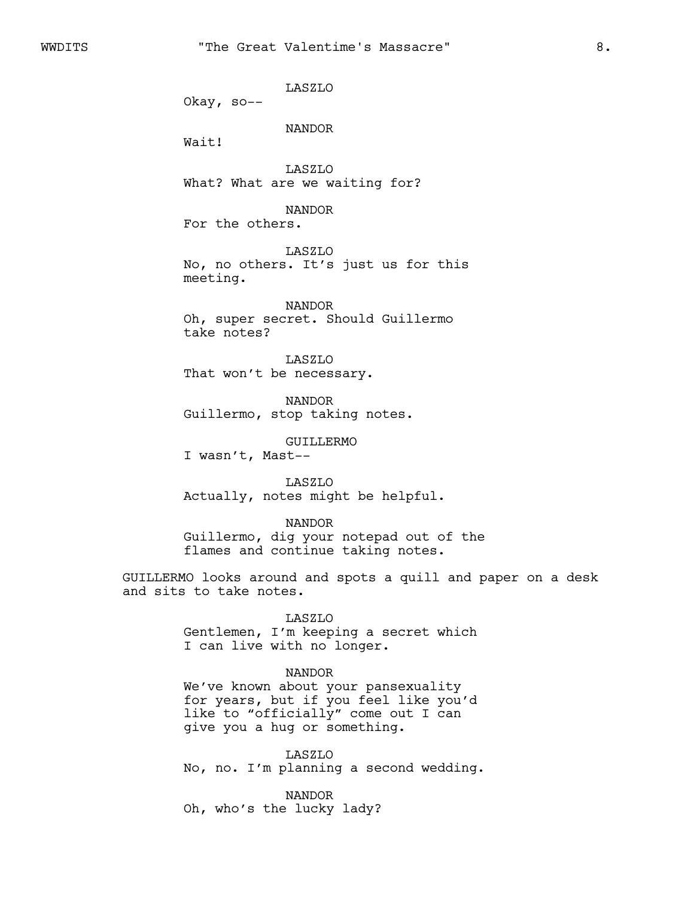LASZLO

Okay, so--

NANDOR

Wait!

LASZLO What? What are we waiting for?

NANDOR

For the others.

LASZLO No, no others. It's just us for this meeting.

NANDOR Oh, super secret. Should Guillermo take notes?

LASZLO That won't be necessary.

NANDOR Guillermo, stop taking notes.

GUILLERMO

I wasn't, Mast--

LASZLO Actually, notes might be helpful.

NANDOR

Guillermo, dig your notepad out of the flames and continue taking notes.

GUILLERMO looks around and spots a quill and paper on a desk and sits to take notes.

LASZLO

Gentlemen, I'm keeping a secret which I can live with no longer.

#### NANDOR

We've known about your pansexuality for years, but if you feel like you'd like to "officially" come out I can give you a hug or something.

LASZLO No, no. I'm planning a second wedding.

NANDOR Oh, who's the lucky lady?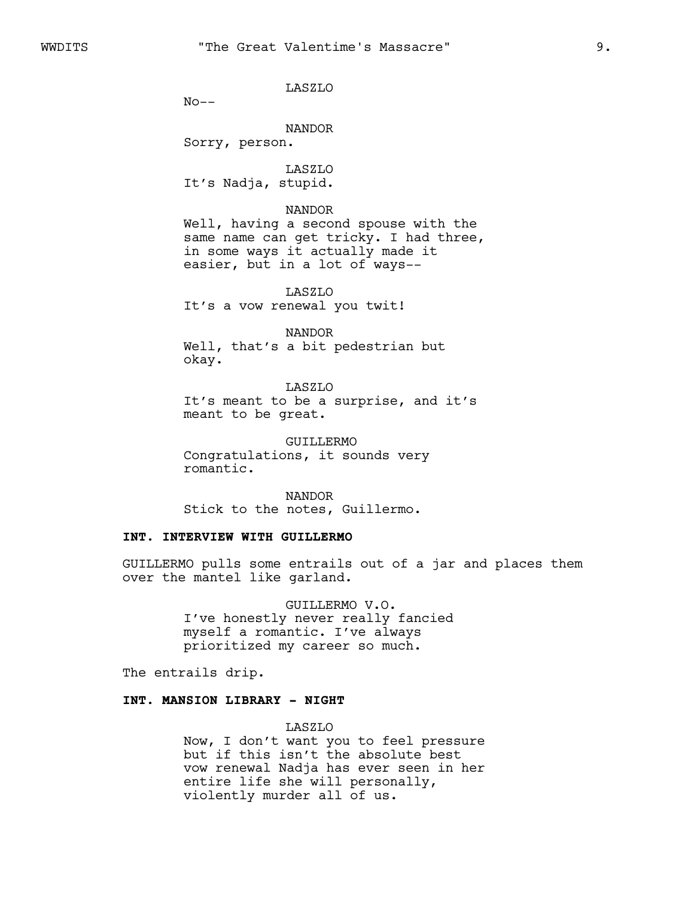LASZLO

 $No--$ 

NANDOR

Sorry, person.

LASZLO It's Nadja, stupid.

NANDOR Well, having a second spouse with the same name can get tricky. I had three, in some ways it actually made it

easier, but in a lot of ways--

LASZLO It's a vow renewal you twit!

NANDOR

Well, that's a bit pedestrian but okay.

LASZLO It's meant to be a surprise, and it's meant to be great.

GUILLERMO Congratulations, it sounds very romantic.

NANDOR Stick to the notes, Guillermo.

## **INT. INTERVIEW WITH GUILLERMO**

GUILLERMO pulls some entrails out of a jar and places them over the mantel like garland.

> GUILLERMO V.O. I've honestly never really fancied myself a romantic. I've always prioritized my career so much.

The entrails drip.

### **INT. MANSION LIBRARY - NIGHT**

LASZLO

Now, I don't want you to feel pressure but if this isn't the absolute best vow renewal Nadja has ever seen in her entire life she will personally, violently murder all of us.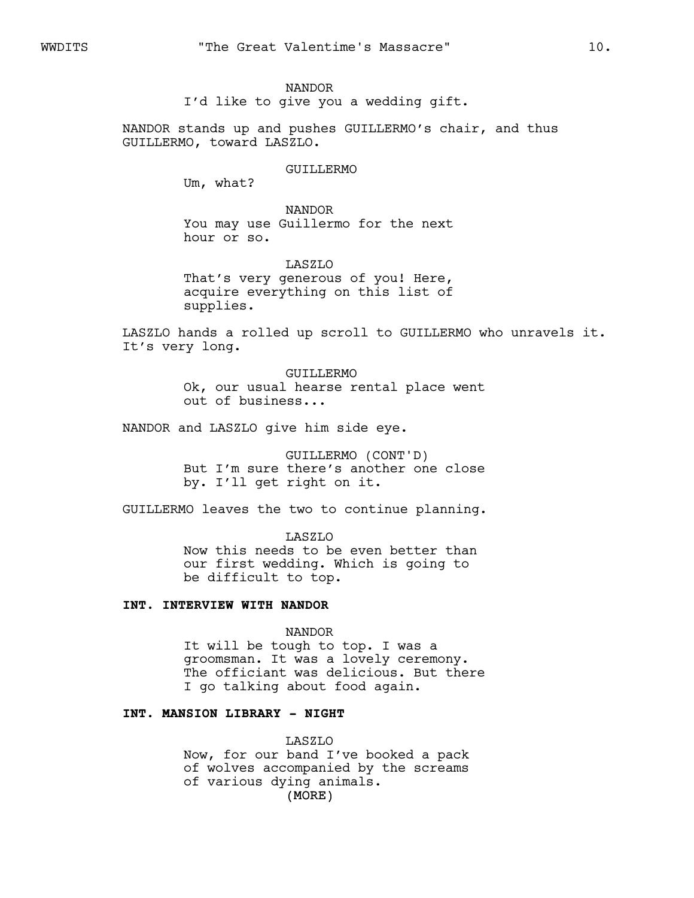I'd like to give you a wedding gift.

NANDOR stands up and pushes GUILLERMO's chair, and thus GUILLERMO, toward LASZLO.

#### GUILLERMO

Um, what?

NANDOR You may use Guillermo for the next hour or so.

LASZLO That's very generous of you! Here, acquire everything on this list of supplies.

LASZLO hands a rolled up scroll to GUILLERMO who unravels it. It's very long.

> GUILLERMO Ok, our usual hearse rental place went out of business...

NANDOR and LASZLO give him side eye.

GUILLERMO (CONT'D) But I'm sure there's another one close by. I'll get right on it.

GUILLERMO leaves the two to continue planning.

LASZLO Now this needs to be even better than our first wedding. Which is going to be difficult to top.

### **INT. INTERVIEW WITH NANDOR**

NANDOR

It will be tough to top. I was a groomsman. It was a lovely ceremony. The officiant was delicious. But there I go talking about food again.

# **INT. MANSION LIBRARY - NIGHT**

(MORE) LASZLO Now, for our band I've booked a pack of wolves accompanied by the screams of various dying animals.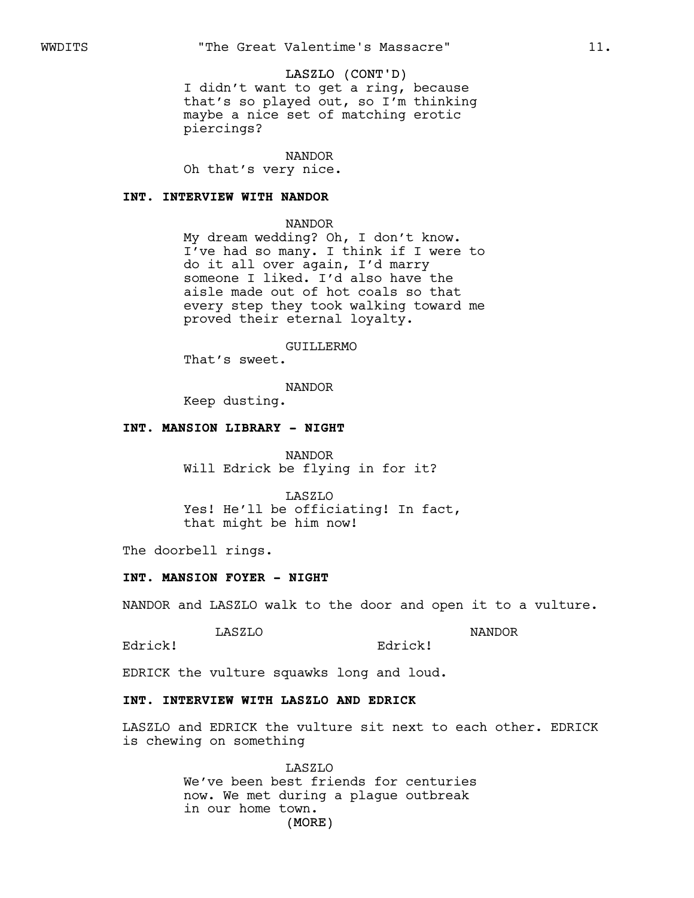#### LASZLO (CONT'D)

I didn't want to get a ring, because that's so played out, so I'm thinking maybe a nice set of matching erotic piercings?

NANDOR

Oh that's very nice.

#### **INT. INTERVIEW WITH NANDOR**

NANDOR

My dream wedding? Oh, I don't know. I've had so many. I think if I were to do it all over again, I'd marry someone I liked. I'd also have the aisle made out of hot coals so that every step they took walking toward me proved their eternal loyalty.

GUILLERMO

That's sweet.

NANDOR

Keep dusting.

#### **INT. MANSION LIBRARY - NIGHT**

NANDOR Will Edrick be flying in for it?

LASZLO Yes! He'll be officiating! In fact, that might be him now!

The doorbell rings.

#### **INT. MANSION FOYER - NIGHT**

NANDOR and LASZLO walk to the door and open it to a vulture.

Edrick!

LASZLO

NANDOR

Edrick!

EDRICK the vulture squawks long and loud.

# **INT. INTERVIEW WITH LASZLO AND EDRICK**

LASZLO and EDRICK the vulture sit next to each other. EDRICK is chewing on something

> (MORE) LASZLO We've been best friends for centuries now. We met during a plague outbreak in our home town.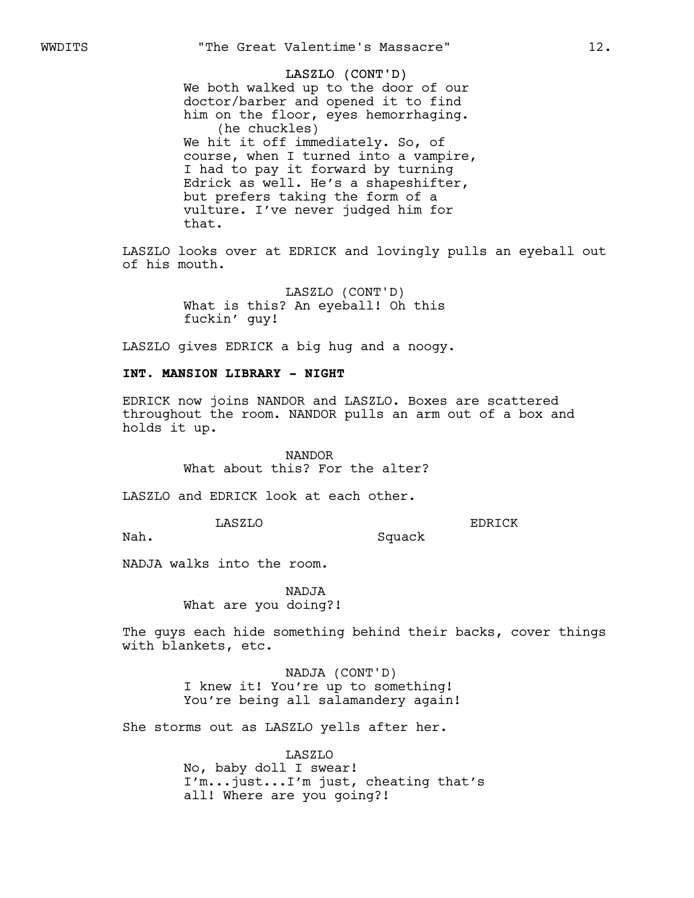# LASZLO (CONT'D)

We both walked up to the door of our doctor/barber and opened it to find him on the floor, eyes hemorrhaging. (he chuckles) We hit it off immediately. So, of course, when I turned into a vampire, I had to pay it forward by turning Edrick as well. He's a shapeshifter, but prefers taking the form of a vulture. I've never judged him for that.

LASZLO looks over at EDRICK and lovingly pulls an eyeball out of his mouth.

> LASZLO (CONT'D) What is this? An eyeball! Oh this fuckin' guy!

LASZLO gives EDRICK a big hug and a noogy.

### **INT. MANSION LIBRARY - NIGHT**

EDRICK now joins NANDOR and LASZLO. Boxes are scattered throughout the room. NANDOR pulls an arm out of a box and holds it up.

> NANDOR What about this? For the alter?

LASZLO and EDRICK look at each other.

LASZLO

EDRICK

Nah.

NADJA walks into the room.

NADJA What are you doing?!

The guys each hide something behind their backs, cover things with blankets, etc.

Squack

NADJA (CONT'D) I knew it! You're up to something! You're being all salamandery again!

She storms out as LASZLO yells after her.

LASZLO No, baby doll I swear! I'm...just...I'm just, cheating that's all! Where are you going?!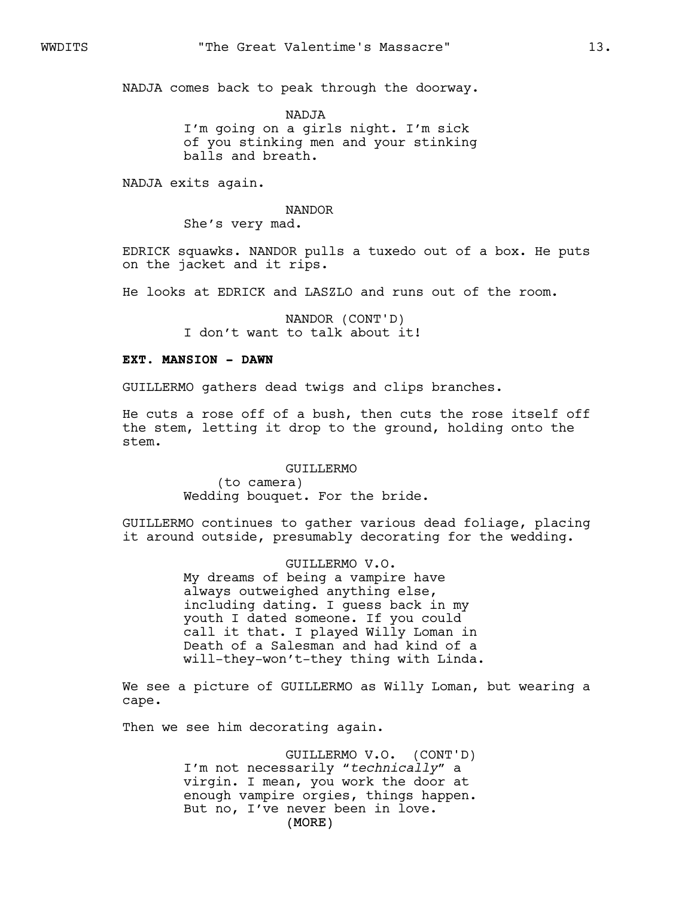NADJA comes back to peak through the doorway.

NADJA I'm going on a girls night. I'm sick of you stinking men and your stinking balls and breath.

NADJA exits again.

NANDOR

She's very mad.

EDRICK squawks. NANDOR pulls a tuxedo out of a box. He puts on the jacket and it rips.

He looks at EDRICK and LASZLO and runs out of the room.

NANDOR (CONT'D) I don't want to talk about it!

### **EXT. MANSION - DAWN**

GUILLERMO gathers dead twigs and clips branches.

He cuts a rose off of a bush, then cuts the rose itself off the stem, letting it drop to the ground, holding onto the stem.

> GUILLERMO (to camera) Wedding bouquet. For the bride.

GUILLERMO continues to gather various dead foliage, placing it around outside, presumably decorating for the wedding.

> GUILLERMO V.O. My dreams of being a vampire have always outweighed anything else, including dating. I guess back in my youth I dated someone. If you could call it that. I played Willy Loman in Death of a Salesman and had kind of a will-they-won't-they thing with Linda.

We see a picture of GUILLERMO as Willy Loman, but wearing a cape.

Then we see him decorating again.

(MORE) GUILLERMO V.O. (CONT'D) I'm not necessarily "*technically*" a virgin. I mean, you work the door at enough vampire orgies, things happen. But no, I've never been in love.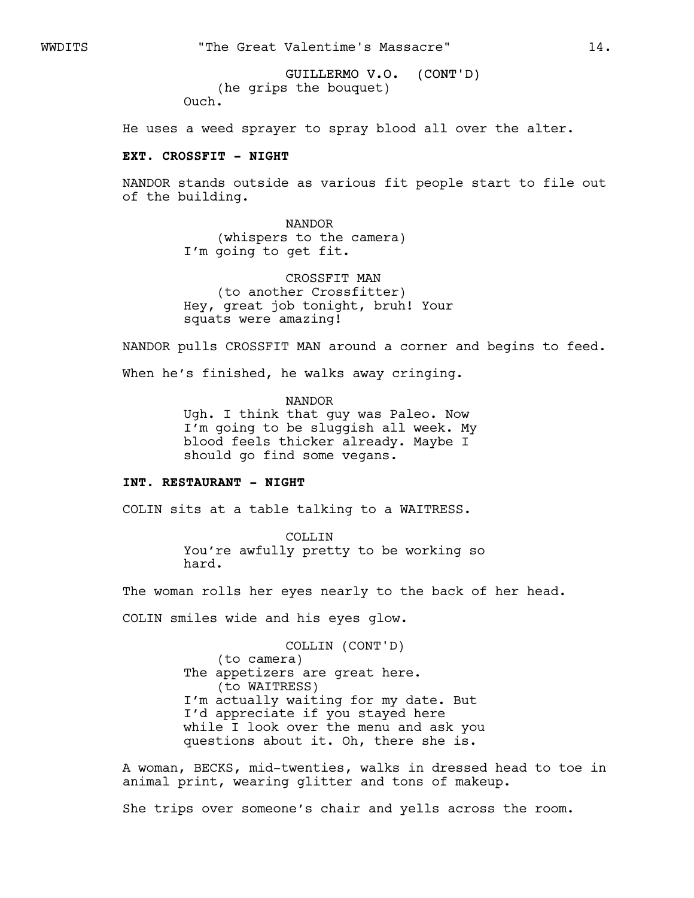GUILLERMO V.O. (CONT'D) (he grips the bouquet) Ouch.

He uses a weed sprayer to spray blood all over the alter.

## **EXT. CROSSFIT - NIGHT**

NANDOR stands outside as various fit people start to file out of the building.

> NANDOR (whispers to the camera) I'm going to get fit.

CROSSFIT MAN (to another Crossfitter) Hey, great job tonight, bruh! Your squats were amazing!

NANDOR pulls CROSSFIT MAN around a corner and begins to feed.

When he's finished, he walks away cringing.

NANDOR Ugh. I think that guy was Paleo. Now I'm going to be sluggish all week. My blood feels thicker already. Maybe I should go find some vegans.

### **INT. RESTAURANT - NIGHT**

COLIN sits at a table talking to a WAITRESS.

COLLIN You're awfully pretty to be working so hard.

The woman rolls her eyes nearly to the back of her head.

COLIN smiles wide and his eyes glow.

COLLIN (CONT'D) (to camera) The appetizers are great here. (to WAITRESS) I'm actually waiting for my date. But I'd appreciate if you stayed here while I look over the menu and ask you questions about it. Oh, there she is.

A woman, BECKS, mid-twenties, walks in dressed head to toe in animal print, wearing glitter and tons of makeup.

She trips over someone's chair and yells across the room.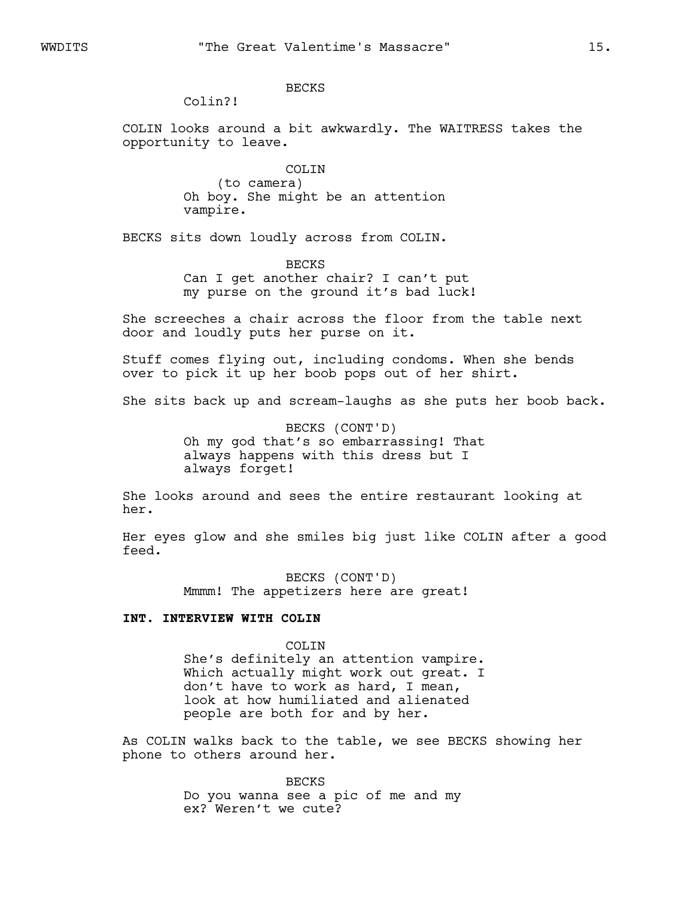### BECKS

Colin?!

COLIN looks around a bit awkwardly. The WAITRESS takes the opportunity to leave.

> COLIN (to camera) Oh boy. She might be an attention vampire.

BECKS sits down loudly across from COLIN.

**BECKS** Can I get another chair? I can't put my purse on the ground it's bad luck!

She screeches a chair across the floor from the table next door and loudly puts her purse on it.

Stuff comes flying out, including condoms. When she bends over to pick it up her boob pops out of her shirt.

She sits back up and scream-laughs as she puts her boob back.

BECKS (CONT'D) Oh my god that's so embarrassing! That always happens with this dress but I always forget!

She looks around and sees the entire restaurant looking at her.

Her eyes glow and she smiles big just like COLIN after a good feed.

> BECKS (CONT'D) Mmmm! The appetizers here are great!

# **INT. INTERVIEW WITH COLIN**

COLIN

She's definitely an attention vampire. Which actually might work out great. I don't have to work as hard, I mean, look at how humiliated and alienated people are both for and by her.

As COLIN walks back to the table, we see BECKS showing her phone to others around her.

> BECKS Do you wanna see a pic of me and my ex? Weren't we cute?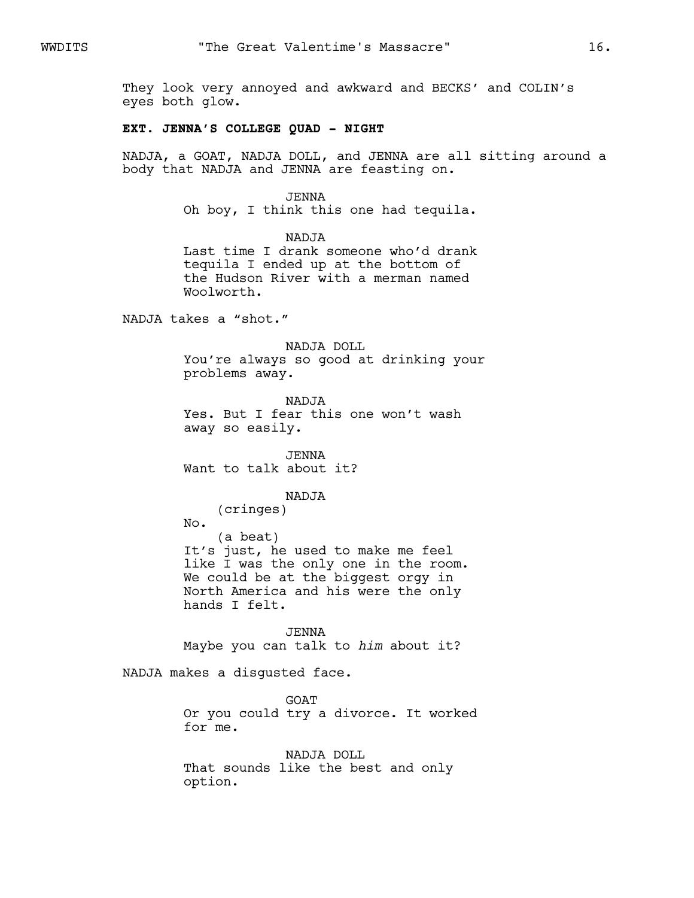They look very annoyed and awkward and BECKS' and COLIN's eyes both glow.

### **EXT. JENNA'S COLLEGE QUAD - NIGHT**

NADJA, a GOAT, NADJA DOLL, and JENNA are all sitting around a body that NADJA and JENNA are feasting on.

#### JENNA

Oh boy, I think this one had tequila.

NADJA

Last time I drank someone who'd drank tequila I ended up at the bottom of the Hudson River with a merman named Woolworth.

NADJA takes a "shot."

NADJA DOLL You're always so good at drinking your problems away.

NADJA Yes. But I fear this one won't wash away so easily.

JENNA Want to talk about it?

#### NADJA

(cringes) No. (a beat) It's just, he used to make me feel like I was the only one in the room. We could be at the biggest orgy in North America and his were the only hands I felt.

JENNA Maybe you can talk to *him* about it?

NADJA makes a disgusted face.

GOAT Or you could try a divorce. It worked for me.

NADJA DOLL That sounds like the best and only option.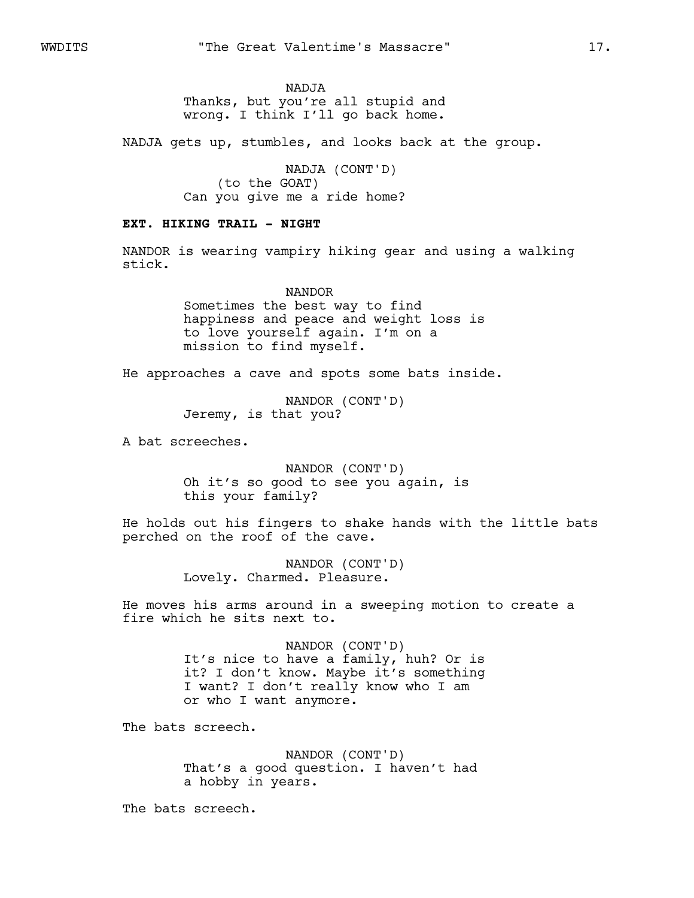NADJA Thanks, but you're all stupid and wrong. I think I'll go back home.

NADJA gets up, stumbles, and looks back at the group.

NADJA (CONT'D) (to the GOAT) Can you give me a ride home?

### **EXT. HIKING TRAIL - NIGHT**

NANDOR is wearing vampiry hiking gear and using a walking stick.

> NANDOR Sometimes the best way to find happiness and peace and weight loss is to love yourself again. I'm on a mission to find myself.

He approaches a cave and spots some bats inside.

NANDOR (CONT'D) Jeremy, is that you?

A bat screeches.

NANDOR (CONT'D) Oh it's so good to see you again, is this your family?

He holds out his fingers to shake hands with the little bats perched on the roof of the cave.

> NANDOR (CONT'D) Lovely. Charmed. Pleasure.

He moves his arms around in a sweeping motion to create a fire which he sits next to.

> NANDOR (CONT'D) It's nice to have a family, huh? Or is it? I don't know. Maybe it's something I want? I don't really know who I am or who I want anymore.

The bats screech.

NANDOR (CONT'D) That's a good question. I haven't had a hobby in years.

The bats screech.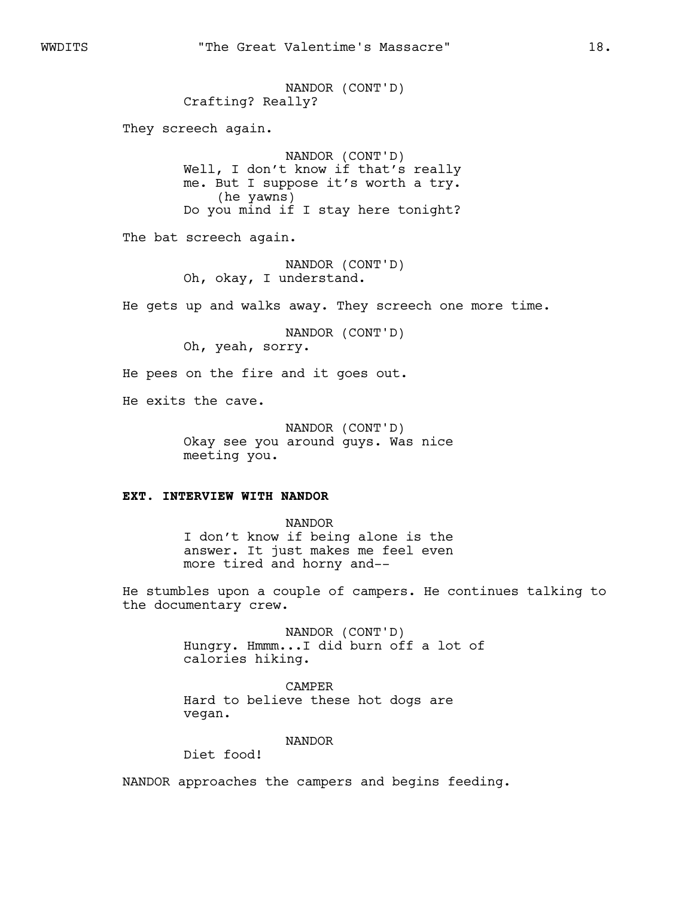NANDOR (CONT'D) Crafting? Really? They screech again. NANDOR (CONT'D) Well, I don't know if that's really me. But I suppose it's worth a try. (he yawns) Do you mind if I stay here tonight? The bat screech again. NANDOR (CONT'D) Oh, okay, I understand. He gets up and walks away. They screech one more time. NANDOR (CONT'D) Oh, yeah, sorry. He pees on the fire and it goes out. He exits the cave.

> NANDOR (CONT'D) Okay see you around guys. Was nice meeting you.

### **EXT. INTERVIEW WITH NANDOR**

NANDOR I don't know if being alone is the answer. It just makes me feel even more tired and horny and--

He stumbles upon a couple of campers. He continues talking to the documentary crew.

> NANDOR (CONT'D) Hungry. Hmmm...I did burn off a lot of calories hiking.

CAMPER Hard to believe these hot dogs are vegan.

### NANDOR

Diet food!

NANDOR approaches the campers and begins feeding.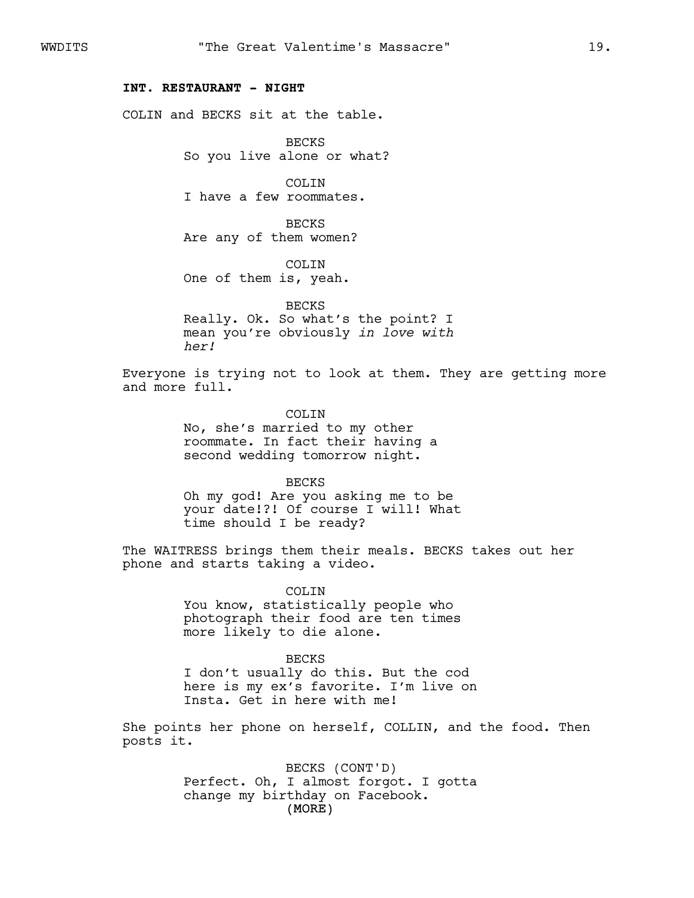### **INT. RESTAURANT - NIGHT**

COLIN and BECKS sit at the table.

BECKS So you live alone or what?

COLIN I have a few roommates.

BECKS Are any of them women?

COLTN One of them is, yeah.

BECKS Really. Ok. So what's the point? I mean you're obviously *in love with her!*

Everyone is trying not to look at them. They are getting more and more full.

> COLTN No, she's married to my other roommate. In fact their having a second wedding tomorrow night.

BECKS Oh my god! Are you asking me to be your date!?! Of course I will! What time should I be ready?

The WAITRESS brings them their meals. BECKS takes out her phone and starts taking a video.

> COLIN You know, statistically people who photograph their food are ten times more likely to die alone.

BECKS I don't usually do this. But the cod here is my ex's favorite. I'm live on Insta. Get in here with me!

She points her phone on herself, COLLIN, and the food. Then posts it.

> (MORE) BECKS (CONT'D) Perfect. Oh, I almost forgot. I gotta change my birthday on Facebook.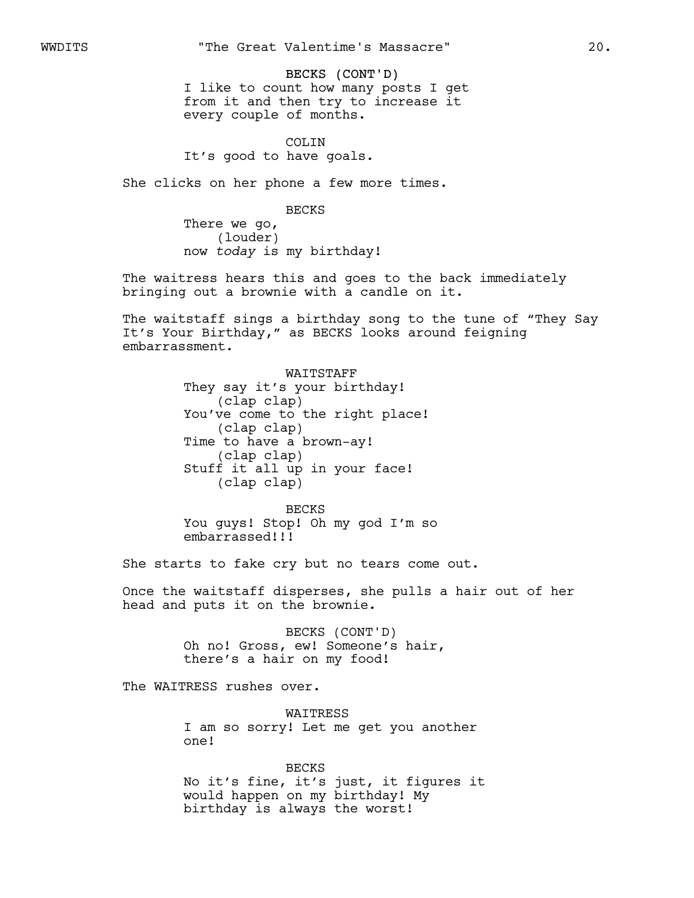#### BECKS (CONT'D)

I like to count how many posts I get from it and then try to increase it every couple of months.

COLIN It's good to have goals.

She clicks on her phone a few more times.

BECKS

There we go, (louder) now *today* is my birthday!

The waitress hears this and goes to the back immediately bringing out a brownie with a candle on it.

The waitstaff sings a birthday song to the tune of "They Say It's Your Birthday," as BECKS looks around feigning embarrassment.

> WAITSTAFF They say it's your birthday! (clap clap) You've come to the right place! (clap clap) Time to have a brown-ay! (clap clap) Stuff it all up in your face! (clap clap)

BECKS You guys! Stop! Oh my god I'm so embarrassed!!!

She starts to fake cry but no tears come out.

Once the waitstaff disperses, she pulls a hair out of her head and puts it on the brownie.

> BECKS (CONT'D) Oh no! Gross, ew! Someone's hair, there's a hair on my food!

The WAITRESS rushes over.

WAITRESS I am so sorry! Let me get you another one!

BECKS

No it's fine, it's just, it figures it would happen on my birthday! My birthday is always the worst!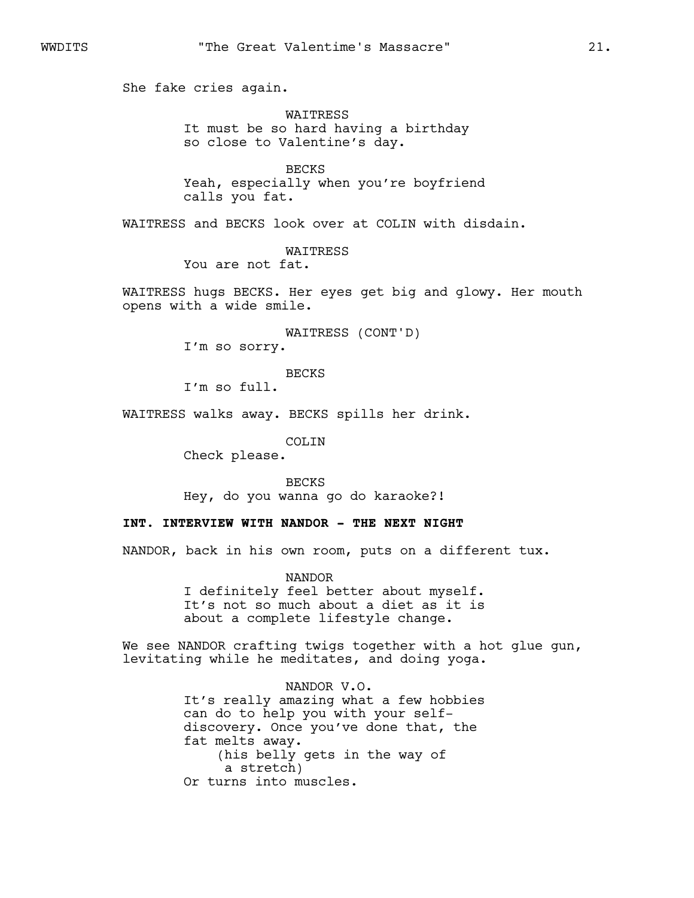She fake cries again.

WAITRESS It must be so hard having a birthday so close to Valentine's day.

BECKS Yeah, especially when you're boyfriend calls you fat.

WAITRESS and BECKS look over at COLIN with disdain.

WAITRESS You are not fat.

WAITRESS hugs BECKS. Her eyes get big and glowy. Her mouth opens with a wide smile.

> WAITRESS (CONT'D) I'm so sorry.

BECKS

I'm so full.

WAITRESS walks away. BECKS spills her drink.

COLIN

Check please.

BECKS Hey, do you wanna go do karaoke?!

## **INT. INTERVIEW WITH NANDOR - THE NEXT NIGHT**

NANDOR, back in his own room, puts on a different tux.

NANDOR I definitely feel better about myself. It's not so much about a diet as it is about a complete lifestyle change.

We see NANDOR crafting twigs together with a hot glue gun, levitating while he meditates, and doing yoga.

> NANDOR V.O. It's really amazing what a few hobbies can do to help you with your selfdiscovery. Once you've done that, the fat melts away. (his belly gets in the way of a stretch) Or turns into muscles.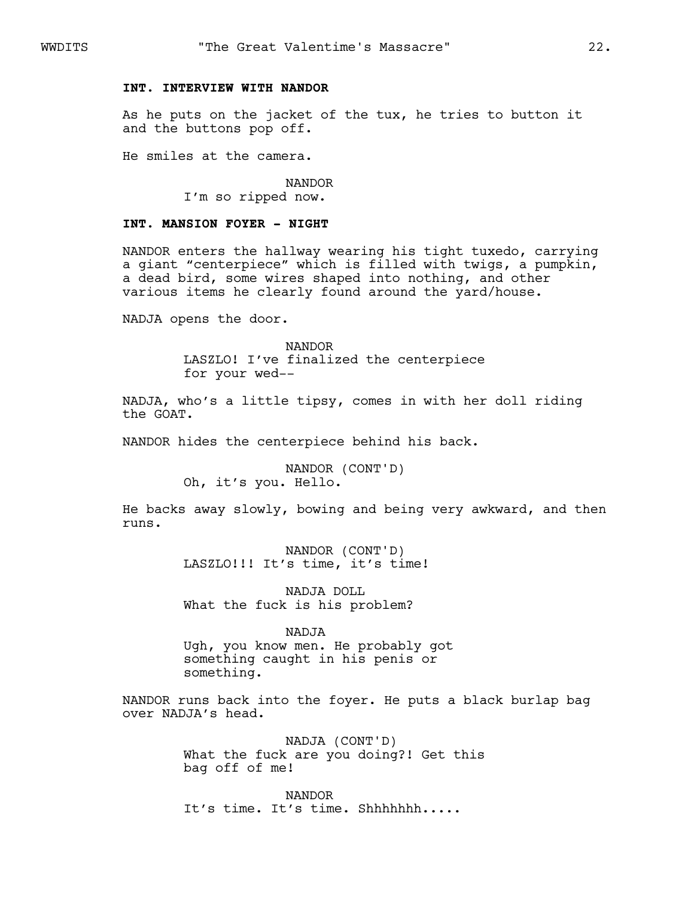### **INT. INTERVIEW WITH NANDOR**

As he puts on the jacket of the tux, he tries to button it and the buttons pop off.

He smiles at the camera.

NANDOR I'm so ripped now.

### **INT. MANSION FOYER - NIGHT**

NANDOR enters the hallway wearing his tight tuxedo, carrying a giant "centerpiece" which is filled with twigs, a pumpkin, a dead bird, some wires shaped into nothing, and other various items he clearly found around the yard/house.

NADJA opens the door.

NANDOR LASZLO! I've finalized the centerpiece for your wed--

NADJA, who's a little tipsy, comes in with her doll riding the GOAT.

NANDOR hides the centerpiece behind his back.

NANDOR (CONT'D) Oh, it's you. Hello.

He backs away slowly, bowing and being very awkward, and then runs.

> NANDOR (CONT'D) LASZLO!!! It's time, it's time!

NADJA DOLL What the fuck is his problem?

NADJA

Ugh, you know men. He probably got something caught in his penis or something.

NANDOR runs back into the foyer. He puts a black burlap bag over NADJA's head.

> NADJA (CONT'D) What the fuck are you doing?! Get this bag off of me!

NANDOR It's time. It's time. Shhhhhhh.....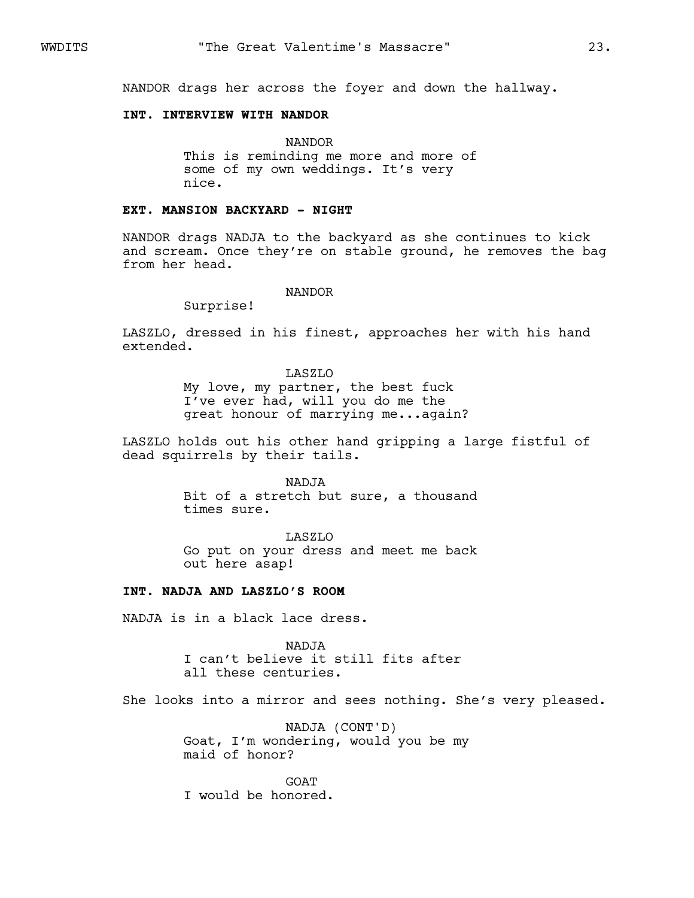NANDOR drags her across the foyer and down the hallway.

### **INT. INTERVIEW WITH NANDOR**

NANDOR This is reminding me more and more of some of my own weddings. It's very nice.

### **EXT. MANSION BACKYARD - NIGHT**

NANDOR drags NADJA to the backyard as she continues to kick and scream. Once they're on stable ground, he removes the bag from her head.

#### NANDOR

Surprise!

LASZLO, dressed in his finest, approaches her with his hand extended.

### LASZLO

My love, my partner, the best fuck I've ever had, will you do me the great honour of marrying me...again?

LASZLO holds out his other hand gripping a large fistful of dead squirrels by their tails.

#### NADJA

Bit of a stretch but sure, a thousand times sure.

#### LASZLO

Go put on your dress and meet me back out here asap!

### **INT. NADJA AND LASZLO'S ROOM**

NADJA is in a black lace dress.

NADJA I can't believe it still fits after all these centuries.

She looks into a mirror and sees nothing. She's very pleased.

NADJA (CONT'D) Goat, I'm wondering, would you be my maid of honor?

**GOAT** I would be honored.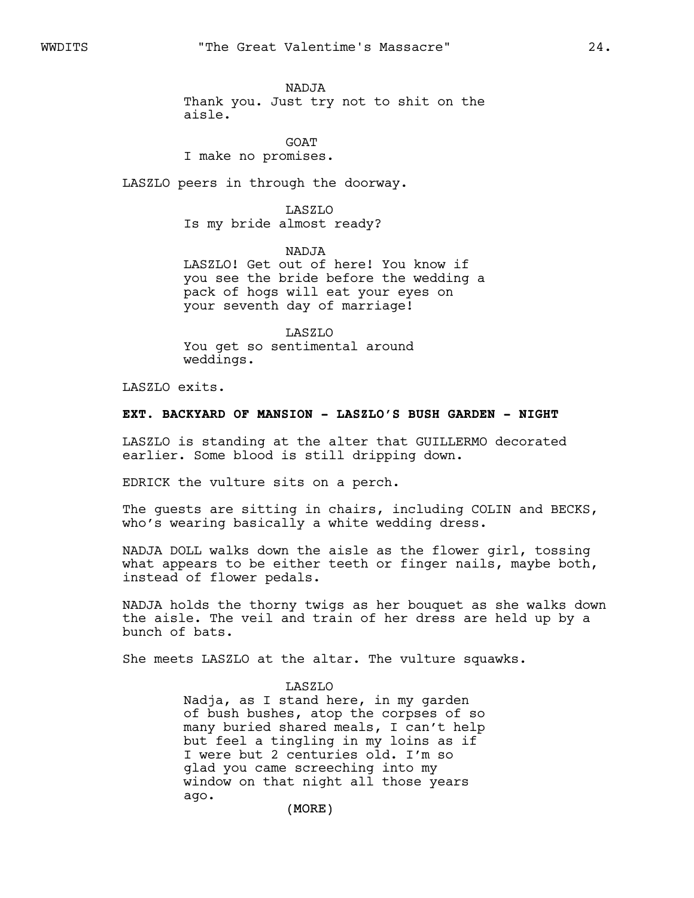NADJA

Thank you. Just try not to shit on the aisle.

GOAT I make no promises.

LASZLO peers in through the doorway.

LASZLO Is my bride almost ready?

NADJA LASZLO! Get out of here! You know if you see the bride before the wedding a pack of hogs will eat your eyes on your seventh day of marriage!

LASZLO You get so sentimental around weddings.

LASZLO exits.

# **EXT. BACKYARD OF MANSION - LASZLO'S BUSH GARDEN - NIGHT**

LASZLO is standing at the alter that GUILLERMO decorated earlier. Some blood is still dripping down.

EDRICK the vulture sits on a perch.

The guests are sitting in chairs, including COLIN and BECKS, who's wearing basically a white wedding dress.

NADJA DOLL walks down the aisle as the flower girl, tossing what appears to be either teeth or finger nails, maybe both, instead of flower pedals.

NADJA holds the thorny twigs as her bouquet as she walks down the aisle. The veil and train of her dress are held up by a bunch of bats.

She meets LASZLO at the altar. The vulture squawks.

### LASZLO

Nadja, as I stand here, in my garden of bush bushes, atop the corpses of so many buried shared meals, I can't help but feel a tingling in my loins as if I were but 2 centuries old. I'm so glad you came screeching into my window on that night all those years ago.

(MORE)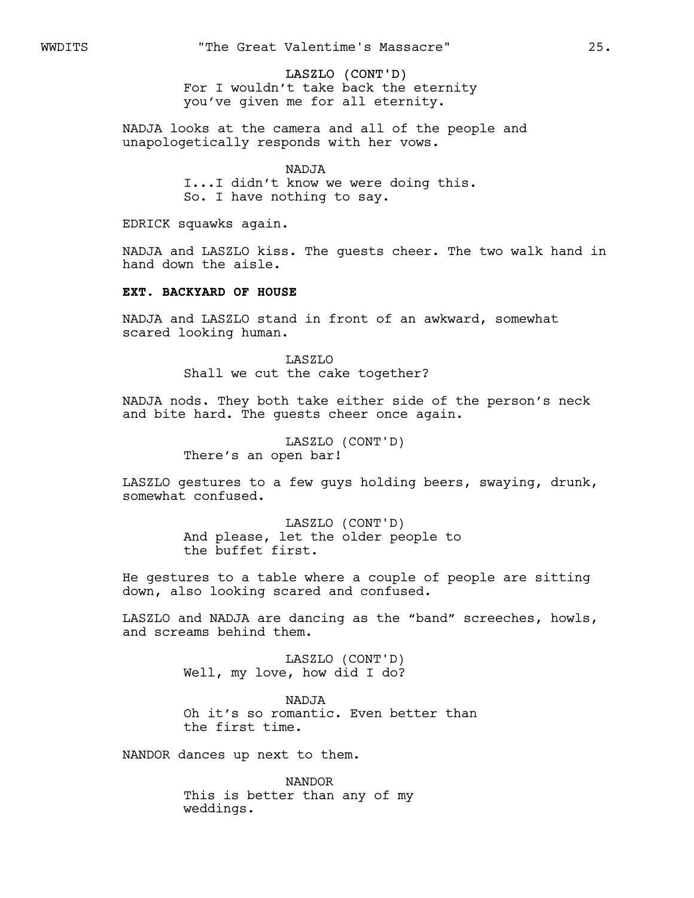LASZLO (CONT'D)

For I wouldn't take back the eternity you've given me for all eternity.

NADJA looks at the camera and all of the people and unapologetically responds with her vows.

> NADJA I...I didn't know we were doing this. So. I have nothing to say.

EDRICK squawks again.

NADJA and LASZLO kiss. The guests cheer. The two walk hand in hand down the aisle.

# **EXT. BACKYARD OF HOUSE**

NADJA and LASZLO stand in front of an awkward, somewhat scared looking human.

> LASZLO Shall we cut the cake together?

NADJA nods. They both take either side of the person's neck and bite hard. The guests cheer once again.

> LASZLO (CONT'D) There's an open bar!

LASZLO gestures to a few guys holding beers, swaying, drunk, somewhat confused.

> LASZLO (CONT'D) And please, let the older people to the buffet first.

He gestures to a table where a couple of people are sitting down, also looking scared and confused.

LASZLO and NADJA are dancing as the "band" screeches, howls, and screams behind them.

> LASZLO (CONT'D) Well, my love, how did I do?

NADJA Oh it's so romantic. Even better than the first time.

NANDOR dances up next to them.

NANDOR This is better than any of my weddings.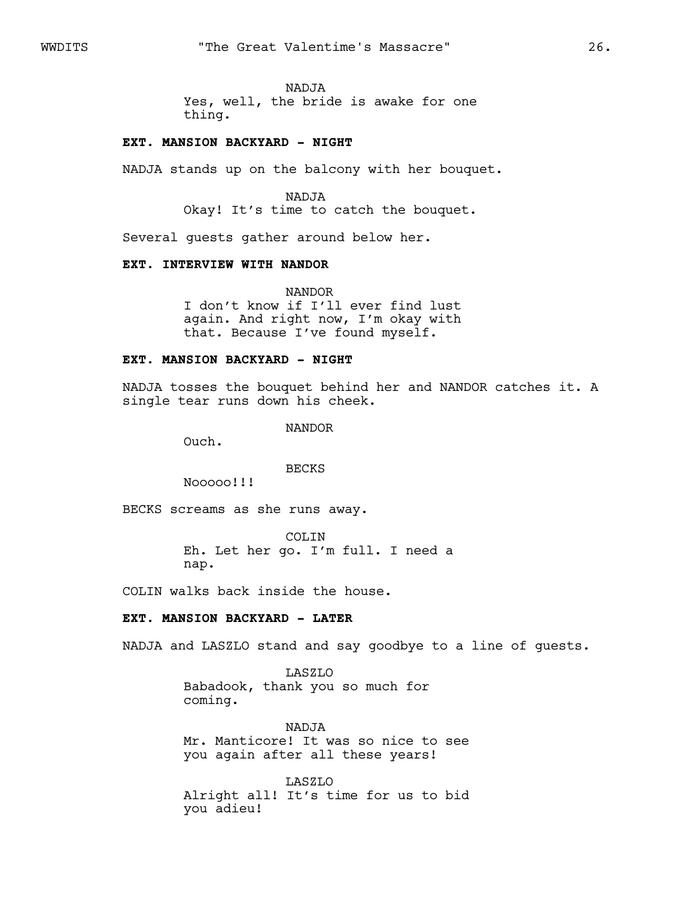### NADJA

Yes, well, the bride is awake for one thing.

### **EXT. MANSION BACKYARD - NIGHT**

NADJA stands up on the balcony with her bouquet.

#### NADJA

Okay! It's time to catch the bouquet.

Several guests gather around below her.

### **EXT. INTERVIEW WITH NANDOR**

NANDOR I don't know if I'll ever find lust again. And right now, I'm okay with that. Because I've found myself.

### **EXT. MANSION BACKYARD - NIGHT**

NADJA tosses the bouquet behind her and NANDOR catches it. A single tear runs down his cheek.

NANDOR

Ouch.

### BECKS

Nooooo!!!

BECKS screams as she runs away.

COLIN Eh. Let her go. I'm full. I need a nap.

COLIN walks back inside the house.

# **EXT. MANSION BACKYARD - LATER**

NADJA and LASZLO stand and say goodbye to a line of guests.

LASZLO Babadook, thank you so much for coming.

NADJA Mr. Manticore! It was so nice to see you again after all these years!

LASZLO Alright all! It's time for us to bid you adieu!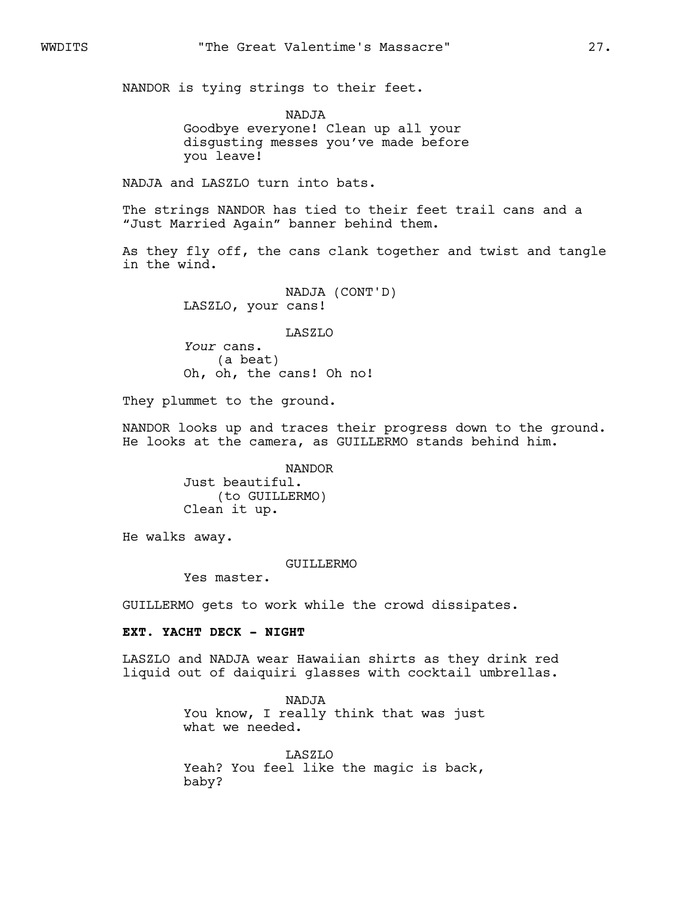NANDOR is tying strings to their feet.

NADJA Goodbye everyone! Clean up all your disgusting messes you've made before you leave!

NADJA and LASZLO turn into bats.

The strings NANDOR has tied to their feet trail cans and a "Just Married Again" banner behind them.

As they fly off, the cans clank together and twist and tangle in the wind.

> NADJA (CONT'D) LASZLO, your cans!

> > LASZLO

*Your* cans. (a beat) Oh, oh, the cans! Oh no!

They plummet to the ground.

NANDOR looks up and traces their progress down to the ground. He looks at the camera, as GUILLERMO stands behind him.

> NANDOR Just beautiful. (to GUILLERMO) Clean it up.

He walks away.

### GUILLERMO

Yes master.

GUILLERMO gets to work while the crowd dissipates.

### **EXT. YACHT DECK - NIGHT**

LASZLO and NADJA wear Hawaiian shirts as they drink red liquid out of daiquiri glasses with cocktail umbrellas.

> NADJA You know, I really think that was just what we needed.

> LASZLO Yeah? You feel like the magic is back, baby?